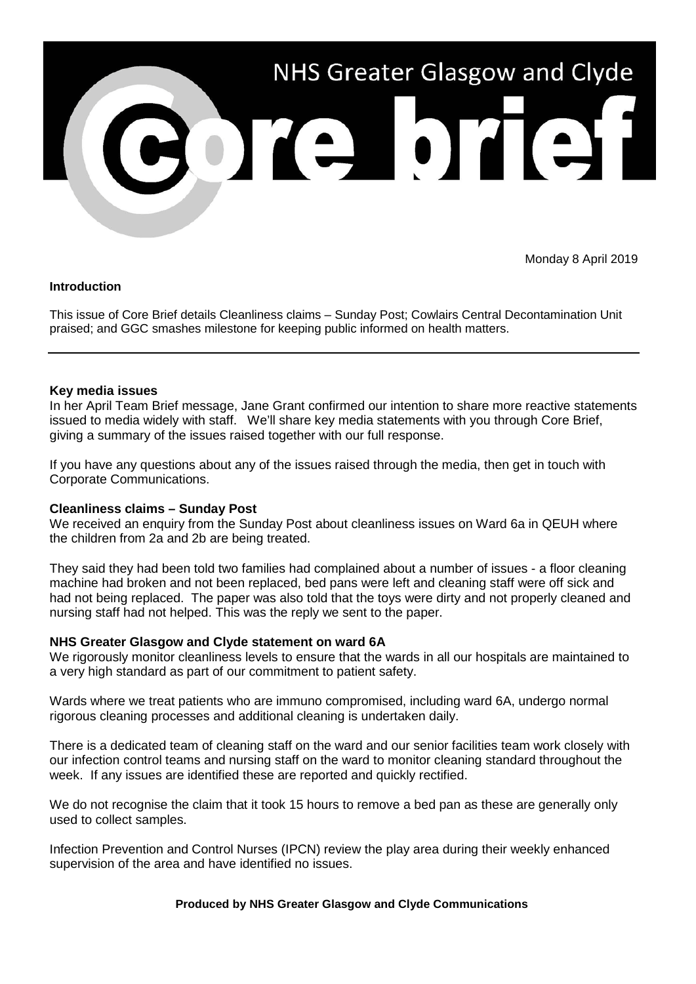

Monday 8 April 2019

## **Introduction**

This issue of Core Brief details Cleanliness claims – Sunday Post; Cowlairs Central Decontamination Unit praised; and GGC smashes milestone for keeping public informed on health matters.

# **Key media issues**

In her April Team Brief message, Jane Grant confirmed our intention to share more reactive statements issued to media widely with staff. We'll share key media statements with you through Core Brief, giving a summary of the issues raised together with our full response.

If you have any questions about any of the issues raised through the media, then get in touch with Corporate Communications.

## **Cleanliness claims – Sunday Post**

We received an enquiry from the Sunday Post about cleanliness issues on Ward 6a in QEUH where the children from 2a and 2b are being treated.

They said they had been told two families had complained about a number of issues - a floor cleaning machine had broken and not been replaced, bed pans were left and cleaning staff were off sick and had not being replaced. The paper was also told that the toys were dirty and not properly cleaned and nursing staff had not helped. This was the reply we sent to the paper.

## **NHS Greater Glasgow and Clyde statement on ward 6A**

We rigorously monitor cleanliness levels to ensure that the wards in all our hospitals are maintained to a very high standard as part of our commitment to patient safety.

Wards where we treat patients who are immuno compromised, including ward 6A, undergo normal rigorous cleaning processes and additional cleaning is undertaken daily.

There is a dedicated team of cleaning staff on the ward and our senior facilities team work closely with our infection control teams and nursing staff on the ward to monitor cleaning standard throughout the week. If any issues are identified these are reported and quickly rectified.

We do not recognise the claim that it took 15 hours to remove a bed pan as these are generally only used to collect samples.

Infection Prevention and Control Nurses (IPCN) review the play area during their weekly enhanced supervision of the area and have identified no issues.

## **Produced by NHS Greater Glasgow and Clyde Communications**